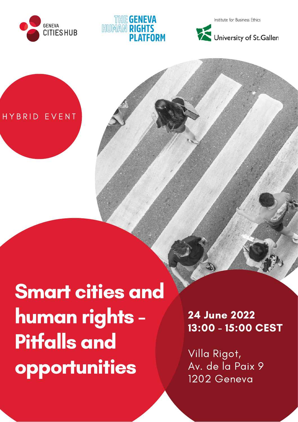

## **TIHE GENEVA HUMAN RIG** PI ATFORM

Institute for Business Ethics





# Smart cities and human rights - Pitfalls and opportunities

24 June 2022 13:00 - 15:00 CEST

Villa Rigot, Av. de la Paix 9 1202 Geneva